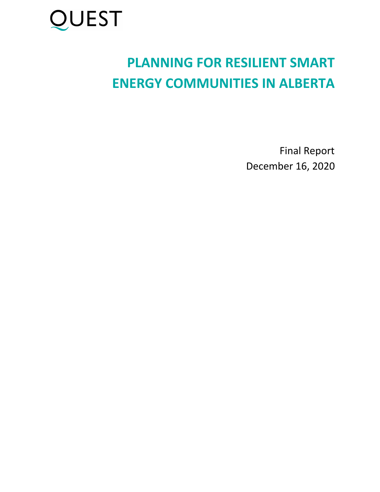

# **PLANNING FOR RESILIENT SMART ENERGY COMMUNITIES IN ALBERTA**

Final Report December 16, 2020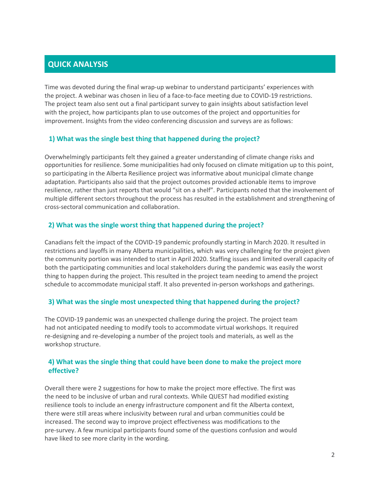### **QUICK ANALYSIS**

Time was devoted during the final wrap-up webinar to understand participants' experiences with the project. A webinar was chosen in lieu of a face-to-face meeting due to COVID-19 restrictions. The project team also sent out a final participant survey to gain insights about satisfaction level with the project, how participants plan to use outcomes of the project and opportunities for improvement. Insights from the video conferencing discussion and surveys are as follows:

#### **1) What was the single best thing that happened during the project?**

Overwhelmingly participants felt they gained a greater understanding of climate change risks and opportunities for resilience. Some municipalities had only focused on climate mitigation up to this point, so participating in the Alberta Resilience project was informative about municipal climate change adaptation. Participants also said that the project outcomes provided actionable items to improve resilience, rather than just reports that would "sit on a shelf". Participants noted that the involvement of multiple different sectors throughout the process has resulted in the establishment and strengthening of cross-sectoral communication and collaboration.

#### **2) What was the single worst thing that happened during the project?**

Canadians felt the impact of the COVID-19 pandemic profoundly starting in March 2020. It resulted in restrictions and layoffs in many Alberta municipalities, which was very challenging for the project given the community portion was intended to start in April 2020. Staffing issues and limited overall capacity of both the participating communities and local stakeholders during the pandemic was easily the worst thing to happen during the project. This resulted in the project team needing to amend the project schedule to accommodate municipal staff. It also prevented in-person workshops and gatherings.

#### **3) What was the single most unexpected thing that happened during the project?**

The COVID-19 pandemic was an unexpected challenge during the project. The project team had not anticipated needing to modify tools to accommodate virtual workshops. It required re-designing and re-developing a number of the project tools and materials, as well as the workshop structure.

#### **4) What was the single thing that could have been done to make the project more effective?**

Overall there were 2 suggestions for how to make the project more effective. The first was the need to be inclusive of urban and rural contexts. While QUEST had modified existing resilience tools to include an energy infrastructure component and fit the Alberta context, there were still areas where inclusivity between rural and urban communities could be increased. The second way to improve project effectiveness was modifications to the pre-survey. A few municipal participants found some of the questions confusion and would have liked to see more clarity in the wording.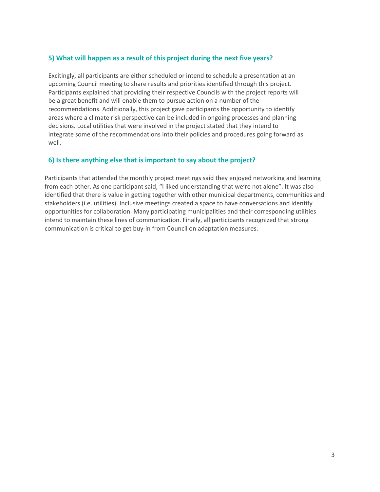#### **5) What will happen as a result of this project during the next five years?**

Excitingly, all participants are either scheduled or intend to schedule a presentation at an upcoming Council meeting to share results and priorities identified through this project. Participants explained that providing their respective Councils with the project reports will be a great benefit and will enable them to pursue action on a number of the recommendations. Additionally, this project gave participants the opportunity to identify areas where a climate risk perspective can be included in ongoing processes and planning decisions. Local utilities that were involved in the project stated that they intend to integrate some of the recommendations into their policies and procedures going forward as well.

#### **6) Is there anything else that is important to say about the project?**

Participants that attended the monthly project meetings said they enjoyed networking and learning from each other. As one participant said, "I liked understanding that we're not alone". It was also identified that there is value in getting together with other municipal departments, communities and stakeholders (i.e. utilities). Inclusive meetings created a space to have conversations and identify opportunities for collaboration. Many participating municipalities and their corresponding utilities intend to maintain these lines of communication. Finally, all participants recognized that strong communication is critical to get buy-in from Council on adaptation measures.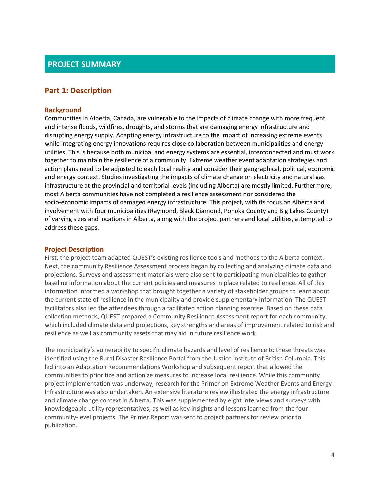#### **PROJECT SUMMARY**

#### **Part 1: Description**

#### **Background**

Communities in Alberta, Canada, are vulnerable to the impacts of climate change with more frequent and intense floods, wildfires, droughts, and storms that are damaging energy infrastructure and disrupting energy supply. Adapting energy infrastructure to the impact of increasing extreme events while integrating energy innovations requires close collaboration between municipalities and energy utilities. This is because both municipal and energy systems are essential, interconnected and must work together to maintain the resilience of a community. Extreme weather event adaptation strategies and action plans need to be adjusted to each local reality and consider their geographical, political, economic and energy context. Studies investigating the impacts of climate change on electricity and natural gas infrastructure at the provincial and territorial levels (including Alberta) are mostly limited. Furthermore, most Alberta communities have not completed a resilience assessment nor considered the socio-economic impacts of damaged energy infrastructure. This project, with its focus on Alberta and involvement with four municipalities (Raymond, Black Diamond, Ponoka County and Big Lakes County) of varying sizes and locations in Alberta, along with the project partners and local utilities, attempted to address these gaps.

#### **Project Description**

First, the project team adapted QUEST's existing resilience tools and methods to the Alberta context. Next, the community Resilience Assessment process began by collecting and analyzing climate data and projections. Surveys and assessment materials were also sent to participating municipalities to gather baseline information about the current policies and measures in place related to resilience. All of this information informed a workshop that brought together a variety of stakeholder groups to learn about the current state of resilience in the municipality and provide supplementary information. The QUEST facilitators also led the attendees through a facilitated action planning exercise. Based on these data collection methods, QUEST prepared a Community Resilience Assessment report for each community, which included climate data and projections, key strengths and areas of improvement related to risk and resilience as well as community assets that may aid in future resilience work.

The municipality's vulnerability to specific climate hazards and level of resilience to these threats was identified using the Rural Disaster Resilience Portal from the Justice Institute of British Columbia. This led into an Adaptation Recommendations Workshop and subsequent report that allowed the communities to prioritize and actionize measures to increase local resilience. While this community project implementation was underway, research for the Primer on Extreme Weather Events and Energy Infrastructure was also undertaken. An extensive literature review illustrated the energy infrastructure and climate change context in Alberta. This was supplemented by eight interviews and surveys with knowledgeable utility representatives, as well as key insights and lessons learned from the four community-level projects. The Primer Report was sent to project partners for review prior to publication.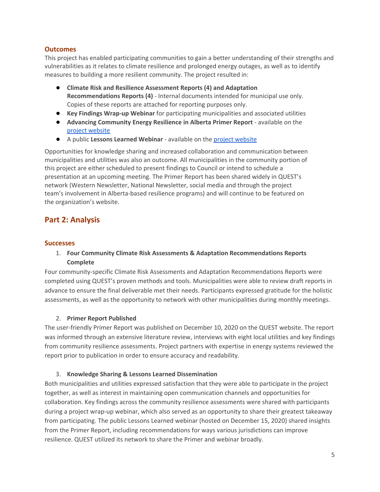#### **Outcomes**

This project has enabled participating communities to gain a better understanding of their strengths and vulnerabilities as it relates to climate resilience and prolonged energy outages, as well as to identify measures to building a more resilient community. The project resulted in:

- **Climate Risk and Resilience Assessment Reports (4) and Adaptation Recommendations Reports (4)** - Internal documents intended for municipal use only. Copies of these reports are attached for reporting purposes only.
- **Key Findings Wrap-up Webinar** for participating municipalities and associated utilities
- **Advancing Community Energy Resilience in Alberta Primer Report** available on the project [website](https://questcanada.org/project/alberta_resilience/)
- A public **Lessons Learned Webinar** available on the project [website](https://questcanada.org/project/alberta_resilience/)

Opportunities for knowledge sharing and increased collaboration and communication between municipalities and utilities was also an outcome. All municipalities in the community portion of this project are either scheduled to present findings to Council or intend to schedule a presentation at an upcoming meeting. The Primer Report has been shared widely in QUEST's network (Western Newsletter, National Newsletter, social media and through the project team's involvement in Alberta-based resilience programs) and will continue to be featured on the organization's website.

#### **Part 2: Analysis**

#### **Successes**

#### 1. **Four Community Climate Risk Assessments & Adaptation Recommendations Reports Complete**

Four community-specific Climate Risk Assessments and Adaptation Recommendations Reports were completed using QUEST's proven methods and tools. Municipalities were able to review draft reports in advance to ensure the final deliverable met their needs. Participants expressed gratitude for the holistic assessments, as well as the opportunity to network with other municipalities during monthly meetings.

#### 2. **Primer Report Published**

The user-friendly Primer Report was published on December 10, 2020 on the QUEST website. The report was informed through an extensive literature review, interviews with eight local utilities and key findings from community resilience assessments. Project partners with expertise in energy systems reviewed the report prior to publication in order to ensure accuracy and readability.

#### 3. **Knowledge Sharing & Lessons Learned Dissemination**

Both municipalities and utilities expressed satisfaction that they were able to participate in the project together, as well as interest in maintaining open communication channels and opportunities for collaboration. Key findings across the community resilience assessments were shared with participants during a project wrap-up webinar, which also served as an opportunity to share their greatest takeaway from participating. The public Lessons Learned webinar (hosted on December 15, 2020) shared insights from the Primer Report, including recommendations for ways various jurisdictions can improve resilience. QUEST utilized its network to share the Primer and webinar broadly.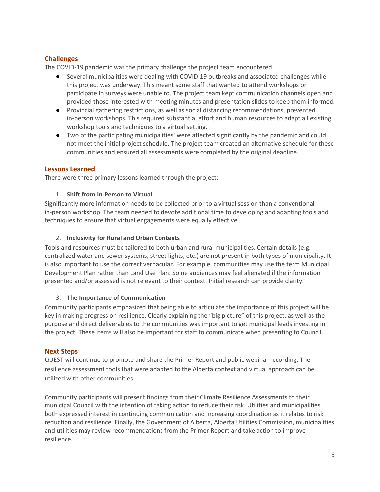#### **Challenges**

The COVID-19 pandemic was the primary challenge the project team encountered:

- Several municipalities were dealing with COVID-19 outbreaks and associated challenges while this project was underway. This meant some staff that wanted to attend workshops or participate in surveys were unable to. The project team kept communication channels open and provided those interested with meeting minutes and presentation slides to keep them informed.
- Provincial gathering restrictions, as well as social distancing recommendations, prevented in-person workshops. This required substantial effort and human resources to adapt all existing workshop tools and techniques to a virtual setting.
- Two of the participating municipalities' were affected significantly by the pandemic and could not meet the initial project schedule. The project team created an alternative schedule for these communities and ensured all assessments were completed by the original deadline.

#### **Lessons Learned**

There were three primary lessons learned through the project:

#### 1. **Shift from In-Person to Virtual**

Significantly more information needs to be collected prior to a virtual session than a conventional in-person workshop. The team needed to devote additional time to developing and adapting tools and techniques to ensure that virtual engagements were equally effective.

#### 2. **Inclusivity for Rural and Urban Contexts**

Tools and resources must be tailored to both urban and rural municipalities. Certain details (e.g. centralized water and sewer systems, street lights, etc.) are not present in both types of municipality. It is also important to use the correct vernacular. For example, communities may use the term Municipal Development Plan rather than Land Use Plan. Some audiences may feel alienated if the information presented and/or assessed is not relevant to their context. Initial research can provide clarity.

#### 3. **The Importance of Communication**

Community participants emphasized that being able to articulate the importance of this project will be key in making progress on resilience. Clearly explaining the "big picture" of this project, as well as the purpose and direct deliverables to the communities was important to get municipal leads investing in the project. These items will also be important for staff to communicate when presenting to Council.

#### **Next Steps**

QUEST will continue to promote and share the Primer Report and public webinar recording. The resilience assessment tools that were adapted to the Alberta context and virtual approach can be utilized with other communities.

Community participants will present findings from their Climate Resilience Assessments to their municipal Council with the intention of taking action to reduce their risk. Utilities and municipalities both expressed interest in continuing communication and increasing coordination as it relates to risk reduction and resilience. Finally, the Government of Alberta, Alberta Utilities Commission, municipalities and utilities may review recommendations from the Primer Report and take action to improve resilience.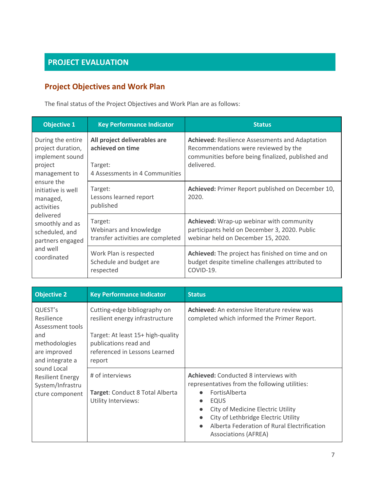# **PROJECT EVALUATION**

# **Project Objectives and Work Plan**

The final status of the Project Objectives and Work Plan are as follows:

| <b>Objective 1</b>                                                                                                                                                                                                                                   | <b>Key Performance Indicator</b>                                                              | <b>Status</b>                                                                                                                                                     |
|------------------------------------------------------------------------------------------------------------------------------------------------------------------------------------------------------------------------------------------------------|-----------------------------------------------------------------------------------------------|-------------------------------------------------------------------------------------------------------------------------------------------------------------------|
| During the entire<br>project duration,<br>implement sound<br>project<br>management to<br>ensure the<br>initiative is well<br>managed,<br>activities<br>delivered<br>smoothly and as<br>scheduled, and<br>partners engaged<br>and well<br>coordinated | All project deliverables are<br>achieved on time<br>Target:<br>4 Assessments in 4 Communities | <b>Achieved:</b> Resilience Assessments and Adaptation<br>Recommendations were reviewed by the<br>communities before being finalized, published and<br>delivered. |
|                                                                                                                                                                                                                                                      | Target:<br>Lessons learned report<br>published                                                | Achieved: Primer Report published on December 10,<br>2020.                                                                                                        |
|                                                                                                                                                                                                                                                      | Target:<br>Webinars and knowledge<br>transfer activities are completed                        | <b>Achieved:</b> Wrap-up webinar with community<br>participants held on December 3, 2020. Public<br>webinar held on December 15, 2020.                            |
|                                                                                                                                                                                                                                                      | Work Plan is respected<br>Schedule and budget are<br>respected                                | Achieved: The project has finished on time and on<br>budget despite timeline challenges attributed to<br>COVID-19.                                                |

| <b>Objective 2</b>                                                                                   | <b>Key Performance Indicator</b>                                                                                                                                         | <b>Status</b>                                                                                                                                                                                                                                                                                                                              |
|------------------------------------------------------------------------------------------------------|--------------------------------------------------------------------------------------------------------------------------------------------------------------------------|--------------------------------------------------------------------------------------------------------------------------------------------------------------------------------------------------------------------------------------------------------------------------------------------------------------------------------------------|
| QUEST's<br>Resilience<br>Assessment tools<br>and<br>methodologies<br>are improved<br>and integrate a | Cutting-edge bibliography on<br>resilient energy infrastructure<br>Target: At least 15+ high-quality<br>publications read and<br>referenced in Lessons Learned<br>report | Achieved: An extensive literature review was<br>completed which informed the Primer Report.                                                                                                                                                                                                                                                |
| sound Local<br><b>Resilient Energy</b><br>System/Infrastru<br>cture component                        | # of interviews<br>Target: Conduct 8 Total Alberta<br>Utility Interviews:                                                                                                | <b>Achieved:</b> Conducted 8 interviews with<br>representatives from the following utilities:<br>FortisAlberta<br>$\bullet$<br>EQUS<br>$\bullet$<br>City of Medicine Electric Utility<br>$\bullet$<br>City of Lethbridge Electric Utility<br>$\bullet$<br>Alberta Federation of Rural Electrification<br>$\bullet$<br>Associations (AFREA) |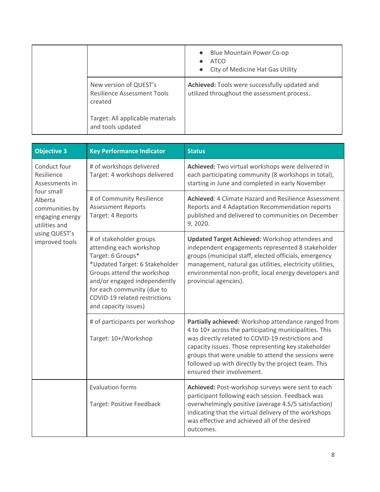|                                                                         | <b>Blue Mountain Power Co-op</b><br>$\bullet$<br><b>ATCO</b><br>City of Medicine Hat Gas Utility<br>$\bullet$ |
|-------------------------------------------------------------------------|---------------------------------------------------------------------------------------------------------------|
| New version of QUEST's<br><b>Resilience Assessment Tools</b><br>created | Achieved: Tools were successfully updated and<br>utilized throughout the assessment process.                  |
| Target: All applicable materials<br>and tools updated                   |                                                                                                               |

| <b>Objective 3</b>                                                                                                                                             | <b>Key Performance Indicator</b>                                                                                                                                                                                                                               | <b>Status</b>                                                                                                                                                                                                                                                                                                                                                         |
|----------------------------------------------------------------------------------------------------------------------------------------------------------------|----------------------------------------------------------------------------------------------------------------------------------------------------------------------------------------------------------------------------------------------------------------|-----------------------------------------------------------------------------------------------------------------------------------------------------------------------------------------------------------------------------------------------------------------------------------------------------------------------------------------------------------------------|
| Conduct four<br>Resilience<br>Assessments in<br>four small<br>Alberta<br>communities by<br>engaging energy<br>utilities and<br>using QUEST's<br>improved tools | # of workshops delivered<br>Target: 4 workshops delivered                                                                                                                                                                                                      | Achieved: Two virtual workshops were delivered in<br>each participating community (8 workshops in total),<br>starting in June and completed in early November                                                                                                                                                                                                         |
|                                                                                                                                                                | # of Community Resilience<br><b>Assessment Reports</b><br>Target: 4 Reports                                                                                                                                                                                    | Achieved: 4 Climate Hazard and Resilience Assessment<br>Reports and 4 Adaptation Recommendation reports<br>published and delivered to communities on December<br>9, 2020.                                                                                                                                                                                             |
|                                                                                                                                                                | # of stakeholder groups<br>attending each workshop<br>Target: 6 Groups*<br>*Updated Target: 6 Stakeholder<br>Groups attend the workshop<br>and/or engaged independently<br>for each community (due to<br>COVID-19 related restrictions<br>and capacity issues) | <b>Updated Target Achieved: Workshop attendees and</b><br>independent engagements represented 8 stakeholder<br>groups (municipal staff, elected officials, emergency<br>management, natural gas utilities, electricity utilities,<br>environmental non-profit, local energy developers and<br>provincial agencies).                                                   |
|                                                                                                                                                                | # of participants per workshop<br>Target: 10+/Workshop                                                                                                                                                                                                         | Partially achieved: Workshop attendance ranged from<br>4 to 10+ across the participating municipalities. This<br>was directly related to COVID-19 restrictions and<br>capacity issues. Those representing key stakeholder<br>groups that were unable to attend the sessions were<br>followed up with directly by the project team. This<br>ensured their involvement. |
|                                                                                                                                                                | <b>Evaluation forms</b><br>Target: Positive Feedback                                                                                                                                                                                                           | Achieved: Post-workshop surveys were sent to each<br>participant following each session. Feedback was<br>overwhelmingly positive (average 4.5/5 satisfaction)<br>indicating that the virtual delivery of the workshops<br>was effective and achieved all of the desired<br>outcomes.                                                                                  |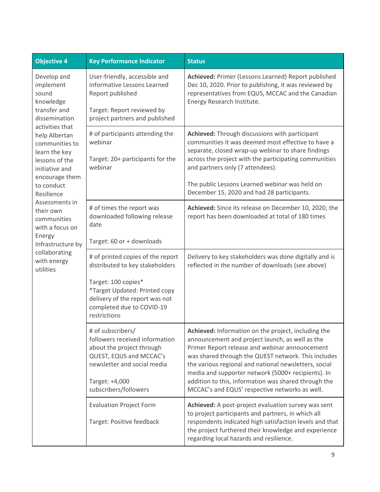| <b>Objective 4</b>                                                                                                                                                                                                                                                                                                  | <b>Key Performance Indicator</b>                                                                                                                                                                            | <b>Status</b>                                                                                                                                                                                                                                                                                                                                                                                                                            |
|---------------------------------------------------------------------------------------------------------------------------------------------------------------------------------------------------------------------------------------------------------------------------------------------------------------------|-------------------------------------------------------------------------------------------------------------------------------------------------------------------------------------------------------------|------------------------------------------------------------------------------------------------------------------------------------------------------------------------------------------------------------------------------------------------------------------------------------------------------------------------------------------------------------------------------------------------------------------------------------------|
| Develop and<br>implement<br>sound<br>knowledge<br>transfer and<br>dissemination<br>activities that<br>help Albertan<br>communities to<br>learn the key<br>lessons of the<br>initiative and<br>encourage them<br>to conduct<br>Resilience<br>Assessments in<br>their own<br>communities<br>with a focus on<br>Energy | User-friendly, accessible and<br>informative Lessons Learned<br>Report published<br>Target: Report reviewed by<br>project partners and published                                                            | Achieved: Primer (Lessons Learned) Report published<br>Dec 10, 2020. Prior to publishing, it was reviewed by<br>representatives from EQUS, MCCAC and the Canadian<br>Energy Research Institute.                                                                                                                                                                                                                                          |
|                                                                                                                                                                                                                                                                                                                     | # of participants attending the<br>webinar<br>Target: 20+ participants for the<br>webinar                                                                                                                   | Achieved: Through discussions with participant<br>communities it was deemed most effective to have a<br>separate, closed wrap-up webinar to share findings<br>across the project with the participating communities<br>and partners only (7 attendees).<br>The public Lessons Learned webinar was held on<br>December 15, 2020 and had 28 participants.                                                                                  |
|                                                                                                                                                                                                                                                                                                                     | # of times the report was<br>downloaded following release<br>date                                                                                                                                           | Achieved: Since its release on December 10, 2020, the<br>report has been downloaded at total of 180 times                                                                                                                                                                                                                                                                                                                                |
| Infrastructure by                                                                                                                                                                                                                                                                                                   | Target: 60 or + downloads                                                                                                                                                                                   |                                                                                                                                                                                                                                                                                                                                                                                                                                          |
| collaborating<br>with energy<br>utilities                                                                                                                                                                                                                                                                           | # of printed copies of the report<br>distributed to key stakeholders<br>Target: 100 copies*<br>*Target Updated: Printed copy<br>delivery of the report was not<br>completed due to COVID-19<br>restrictions | Delivery to key stakeholders was done digitally and is<br>reflected in the number of downloads (see above)                                                                                                                                                                                                                                                                                                                               |
|                                                                                                                                                                                                                                                                                                                     | # of subscribers/<br>followers received information<br>about the project through<br>QUEST, EQUS and MCCAC's<br>newsletter and social media<br>Target: +4,000<br>subscribers/followers                       | Achieved: Information on the project, including the<br>announcement and project launch, as well as the<br>Primer Report release and webinar announcement<br>was shared through the QUEST network. This includes<br>the various regional and national newsletters, social<br>media and supporter network (5000+ recipients). In<br>addition to this, information was shared through the<br>MCCAC's and EQUS' respective networks as well. |
|                                                                                                                                                                                                                                                                                                                     | <b>Evaluation Project Form</b><br>Target: Positive feedback                                                                                                                                                 | Achieved: A post-project evaluation survey was sent<br>to project participants and partners, in which all<br>respondents indicated high satisfaction levels and that<br>the project furthered their knowledge and experience<br>regarding local hazards and resilience.                                                                                                                                                                  |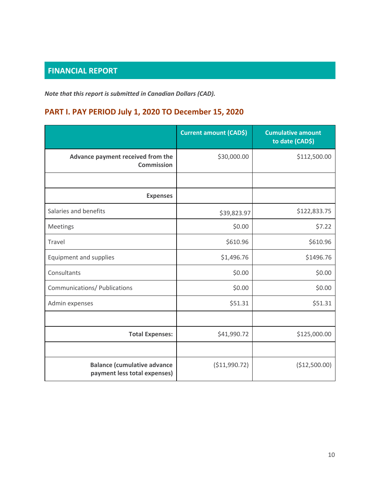# **FINANCIAL REPORT**

*Note that this report is submitted in Canadian Dollars (CAD).*

# **PART I. PAY PERIOD July 1, 2020 TO December 15, 2020**

|                                                                    | <b>Current amount (CAD\$)</b> | <b>Cumulative amount</b><br>to date (CAD\$) |
|--------------------------------------------------------------------|-------------------------------|---------------------------------------------|
| Advance payment received from the<br><b>Commission</b>             | \$30,000.00                   | \$112,500.00                                |
|                                                                    |                               |                                             |
| <b>Expenses</b>                                                    |                               |                                             |
| Salaries and benefits                                              | \$39,823.97                   | \$122,833.75                                |
| Meetings                                                           | \$0.00                        | \$7.22                                      |
| Travel                                                             | \$610.96                      | \$610.96                                    |
| <b>Equipment and supplies</b>                                      | \$1,496.76                    | \$1496.76                                   |
| Consultants                                                        | \$0.00                        | \$0.00                                      |
| Communications/ Publications                                       | \$0.00                        | \$0.00                                      |
| Admin expenses                                                     | \$51.31                       | \$51.31                                     |
|                                                                    |                               |                                             |
| <b>Total Expenses:</b>                                             | \$41,990.72                   | \$125,000.00                                |
|                                                                    |                               |                                             |
| <b>Balance (cumulative advance</b><br>payment less total expenses) | ( \$11,990.72)                | (\$12,500.00)                               |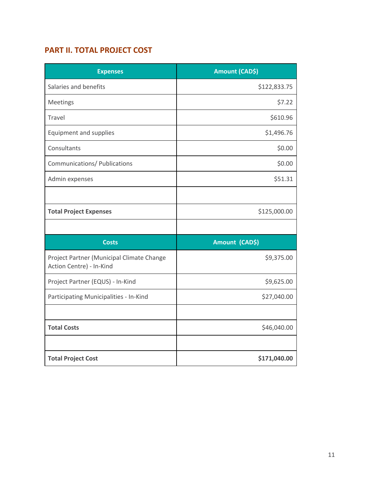## **PART II. TOTAL PROJECT COST**

| <b>Expenses</b>                                                       | Amount (CAD\$) |
|-----------------------------------------------------------------------|----------------|
| Salaries and benefits                                                 | \$122,833.75   |
| Meetings                                                              | \$7.22         |
| Travel                                                                | \$610.96       |
| <b>Equipment and supplies</b>                                         | \$1,496.76     |
| Consultants                                                           | \$0.00         |
| Communications/ Publications                                          | \$0.00         |
| Admin expenses                                                        | \$51.31        |
|                                                                       |                |
| <b>Total Project Expenses</b>                                         | \$125,000.00   |
|                                                                       |                |
| <b>Costs</b>                                                          | Amount (CAD\$) |
| Project Partner (Municipal Climate Change<br>Action Centre) - In-Kind | \$9,375.00     |
| Project Partner (EQUS) - In-Kind                                      | \$9,625.00     |
| Participating Municipalities - In-Kind                                | \$27,040.00    |
|                                                                       |                |
| <b>Total Costs</b>                                                    | \$46,040.00    |
| <b>Total Project Cost</b>                                             | \$171,040.00   |